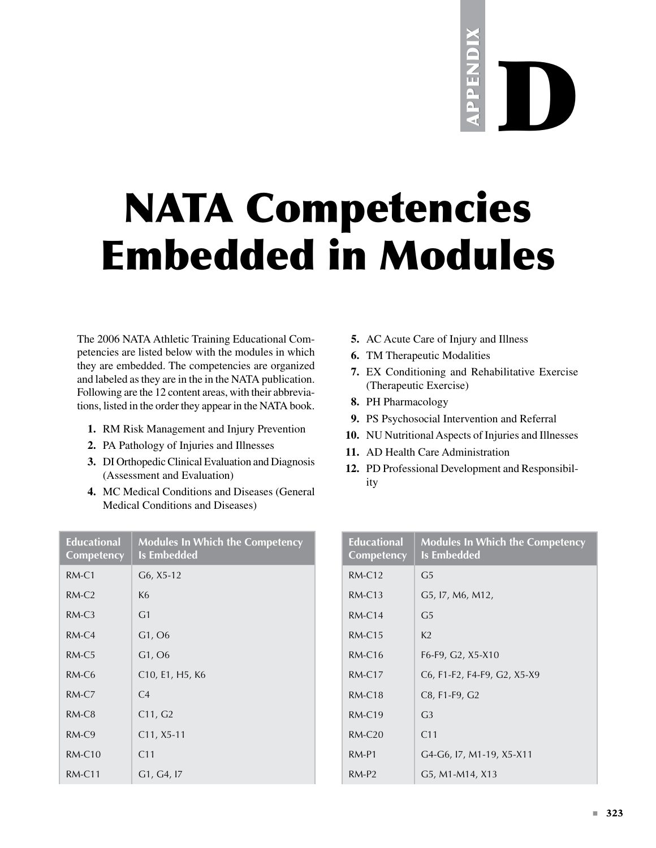## appendix appendix PPENDIX D

## NATA Competencies Embedded in Modules

The 2006 NATA Athletic Training Educational Competencies are listed below with the modules in which they are embedded. The competencies are organized and labeled as they are in the in the NATA publication. Following are the 12 content areas, with their abbreviations, listed in the order they appear in the NATA book.

- **1.** RM Risk Management and Injury Prevention
- 2. PA Pathology of Injuries and Illnesses
- **3.** DI Orthopedic Clinical Evaluation and Diagnosis (Assessment and Evaluation)
- **4.** MC Medical Conditions and Diseases (General Medical Conditions and Diseases)

|  |  | 5. AC Acute Care of Injury and Illness |
|--|--|----------------------------------------|

- **6.** TM Therapeutic Modalities
- **7.** EX Conditioning and Rehabilitative Exercise (Therapeutic Exercise)
- **8.** PH Pharmacology
- **9.** PS Psychosocial Intervention and Referral
- **10.** NU Nutritional Aspects of Injuries and Illnesses
- 11. AD Health Care Administration
- 12. PD Professional Development and Responsibility

| <b>Educational</b><br><b>Competency</b> | <b>Modules In Which the Competency</b><br><b>Is Embedded</b> |  |  |  |
|-----------------------------------------|--------------------------------------------------------------|--|--|--|
| $RM-C1$                                 | $G6, X5-12$                                                  |  |  |  |
| $RM-C2$                                 | K <sub>6</sub>                                               |  |  |  |
| $RM-C3$                                 | G <sub>1</sub>                                               |  |  |  |
| $RM-C4$                                 | G1, O6                                                       |  |  |  |
| $RM-C5$                                 | G1, O6                                                       |  |  |  |
| $RM-C6$                                 | C10, E1, H5, K6                                              |  |  |  |
| $RM-CZ$                                 | C <sub>4</sub>                                               |  |  |  |
| $RM-C8$                                 | C11, G2                                                      |  |  |  |
| $RM-C9$                                 | $C11, X5-11$                                                 |  |  |  |
| $RM-C10$                                | C <sub>11</sub>                                              |  |  |  |
| $RM-C11$                                | G1, G4, I7                                                   |  |  |  |

| <b>Educational</b><br>Competency | <b>Modules In Which the Competency</b><br>Is Embedded |
|----------------------------------|-------------------------------------------------------|
| $RM-C12$                         | G5                                                    |
| $RM-C13$                         | G5, I7, M6, M12,                                      |
| $RM-C14$                         | G5                                                    |
| $RM-C15$                         | K <sub>2</sub>                                        |
| $RM-C16$                         | F6-F9, G2, X5-X10                                     |
| $RM-C17$                         | C6, F1-F2, F4-F9, G2, X5-X9                           |
| $RM-C18$                         | C8, F1-F9, G2                                         |
| $RM-C19$                         | G <sub>3</sub>                                        |
| $RM-C20$                         | C11                                                   |
| $RM-P1$                          | G4-G6, 17, M1-19, X5-X11                              |
| $RM-P2$                          | G5, M1-M14, X13                                       |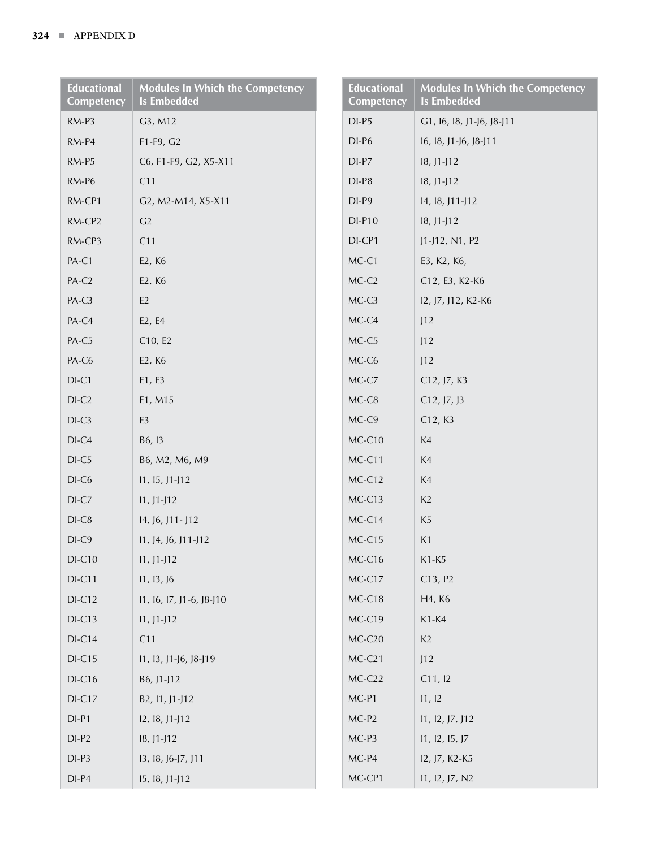| <b>Educational</b><br>Competency | <b>Modules In Which the Competency</b><br><b>Is Embedded</b> | <b>Educational</b><br>Competency | <b>Modules In Which the Competency</b><br><b>Is Embedded</b> |
|----------------------------------|--------------------------------------------------------------|----------------------------------|--------------------------------------------------------------|
| RM-P3                            | G3, M12                                                      | $DI-P5$                          | G1, 16, 18, J1-J6, J8-J11                                    |
| RM-P4                            | F1-F9, G2                                                    | $DI-P6$                          | 16, 18, 11-16, 18-111                                        |
| RM-P5                            | C6, F1-F9, G2, X5-X11                                        | $DI-P7$                          | $18, J1-J12$                                                 |
| RM-P6                            | C11                                                          | $DI-P8$                          | $18, J1-J12$                                                 |
| RM-CP1                           | G2, M2-M14, X5-X11                                           | $DI-P9$                          | 14, 18, 111-112                                              |
| RM-CP2                           | G2                                                           | $DI-P10$                         | $18, J1-J12$                                                 |
| RM-CP3                           | C11                                                          | DI-CP1                           | J1-J12, N1, P2                                               |
| PA-C1                            | E2, K6                                                       | $MC-C1$                          | E3, K2, K6,                                                  |
| PA-C2                            | E2, K6                                                       | $MC-C2$                          | C12, E3, K2-K6                                               |
| PA-C3                            | $\mathsf{E}2$                                                | MC-C3                            | 12, J7, J12, K2-K6                                           |
| PA-C4                            | E2, E4                                                       | MC-C4                            | J12                                                          |
| PA-C5                            | C10, E2                                                      | $MC-C5$                          | J12                                                          |
| PA-C6                            | E2, K6                                                       | MC-C6                            | J12                                                          |
| $DI-C1$                          | E1, E3                                                       | $MC-C7$                          | C12, J7, K3                                                  |
| $DI-C2$                          | E1, M15                                                      | $MC-C8$                          | C12, J7, J3                                                  |
| $DI-C3$                          | E <sub>3</sub>                                               | MC-C9                            | C12, K3                                                      |
| $DI-C4$                          | B6, 13                                                       | $MC-C10$                         | K4                                                           |
| $DI-C5$                          | B6, M2, M6, M9                                               | MC-C11                           | K4                                                           |
| $DI-C6$                          | $11, 15, 11 - 112$                                           | $MC-C12$                         | K4                                                           |
| $DI-C7$                          | $11, J1-J12$                                                 | $MC-C13$                         | K2                                                           |
| $DI-C8$                          | 14, 16, 111 - 112                                            | MC-C14                           | K <sub>5</sub>                                               |
| $DI-C9$                          | $11, 14, 16, 111 - 112$                                      | $MC-C15$                         | K1                                                           |
| $DI-C10$                         | $11, J1-J12$                                                 | MC-C16                           | K1-K5                                                        |
| $DI-C11$                         | 11, 13, 16                                                   | $MC-C17$                         | C13, P2                                                      |
| $DI-C12$                         | 11, 16, 17, 11-6, 18-110                                     | MC-C18                           | H4, K6                                                       |
| $DI-C13$                         | $11, J1-J12$                                                 | MC-C19                           | $K1-K4$                                                      |
| $DI-C14$                         | C11                                                          | $MC-C20$                         | K2                                                           |
| $DI-C15$                         | 11, 13, 11-16, 18-119                                        | $MC-C21$                         | J12                                                          |
| $DI-C16$                         | B6, J1-J12                                                   | $MC-C22$                         | C11, 12                                                      |
| $DI-C17$                         | B2, 11, J1-J12                                               | $MC-P1$                          | 11, 12                                                       |
| $DI-P1$                          | $12, 18, 11 - 112$                                           | $MC-P2$                          | 11, 12, 17, 112                                              |
| $DI-P2$                          | $18, J1-J12$                                                 | $MC-P3$                          | 11, 12, 15, 17                                               |
| $DI-P3$                          | 13, 18, 16-17, 111                                           | $MC-P4$                          | 12, J7, K2-K5                                                |
| $DI-P4$                          | 15, 18, J1-J12                                               | MC-CP1                           | 11, 12, J7, N2                                               |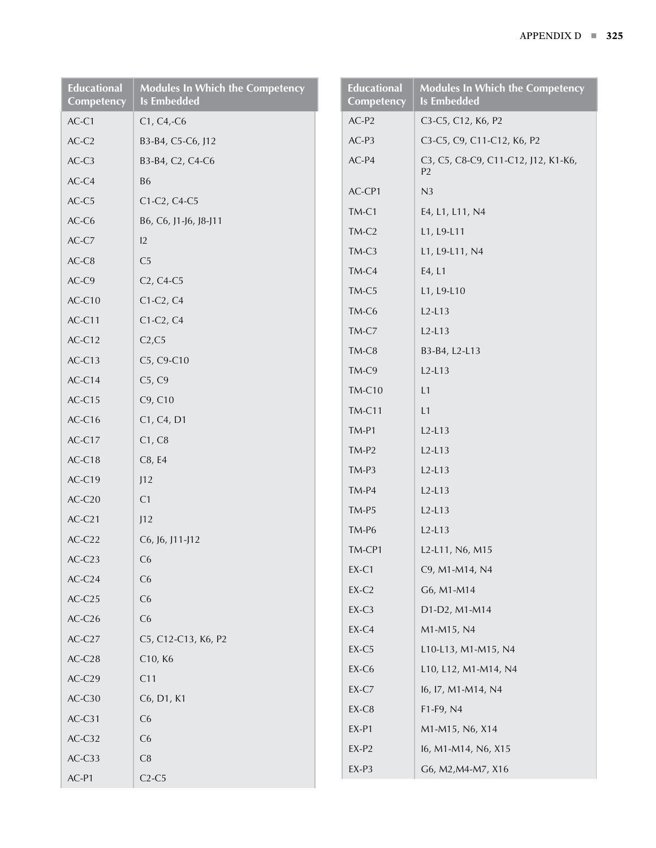| <b>Educational</b><br>Competency | <b>Modules In Which the Competency</b><br><b>Is Embedded</b> | <b>Educational</b><br>Competency | <b>Modules In Which the Competency</b><br><b>Is Embedded</b> |
|----------------------------------|--------------------------------------------------------------|----------------------------------|--------------------------------------------------------------|
| $AC-C1$                          | $C1, C4, -C6$                                                | $AC-P2$                          | C3-C5, C12, K6, P2                                           |
| $AC-C2$                          | B3-B4, C5-C6, J12                                            | $AC-P3$                          | C3-C5, C9, C11-C12, K6, P2                                   |
| $AC-C3$                          | B3-B4, C2, C4-C6                                             | $AC-P4$                          | C3, C5, C8-C9, C11-C12, J12, K1-K6,<br>P <sub>2</sub>        |
| $AC-C4$                          | <b>B6</b>                                                    | AC-CP1                           | N <sub>3</sub>                                               |
| $AC-C5$                          | C1-C2, C4-C5                                                 | TM-C1                            | E4, L1, L11, N4                                              |
| $AC-C6$                          | B6, C6, J1-J6, J8-J11                                        | $TM-C2$                          | L1, L9-L11                                                   |
| $AC-C7$                          | 12                                                           | $TM-C3$                          | L1, L9-L11, N4                                               |
| $AC-C8$                          | C <sub>5</sub>                                               | TM-C4                            | E4, L1                                                       |
| $AC-C9$                          | C <sub>2</sub> , C <sub>4</sub> -C <sub>5</sub>              | TM-C5                            | L1, L9-L10                                                   |
| $AC-C10$                         | $C1-C2, C4$                                                  | TM-C6                            | $L2-L13$                                                     |
| $AC-C11$                         | $C1-C2, C4$                                                  | TM-C7                            | $L2-L13$                                                     |
| $AC-C12$                         | C2, C5                                                       | TM-C8                            | B3-B4, L2-L13                                                |
| $AC-C13$                         | C5, C9-C10                                                   | TM-C9                            | $L2-L13$                                                     |
| $AC-C14$                         | C5, C9                                                       | <b>TM-C10</b>                    | L1                                                           |
| $AC-C15$                         | C9, C10                                                      | <b>TM-C11</b>                    | L1                                                           |
| $AC-C16$                         | C1, C4, D1                                                   | $TM-P1$                          | $L2-L13$                                                     |
| $AC-C17$                         | C1, C8                                                       | $TM-P2$                          | $L2-L13$                                                     |
| $AC-C18$                         | C8, E4                                                       | $TM-P3$                          | $L2-L13$                                                     |
| AC-C19                           | J12                                                          | $TM-P4$                          | $L2-L13$                                                     |
| $AC-C20$                         | C1                                                           | $TM-P5$                          | $L2-L13$                                                     |
| $AC-C21$                         | J12                                                          | TM-P6                            | $L2-L13$                                                     |
| $AC-C22$                         | C6, J6, J11-J12                                              | TM-CP1                           |                                                              |
| $AC-C23$                         | C6                                                           |                                  | L2-L11, N6, M15                                              |
| $AC-C24$                         | C6                                                           | $EX-C1$                          | C9, M1-M14, N4<br>G6, M1-M14                                 |
| $AC-C25$                         | C6                                                           | $EX-C2$                          |                                                              |
| $AC-C26$                         | C6                                                           | $EX-C3$                          | D1-D2, M1-M14                                                |
| $AC-C27$                         | C5, C12-C13, K6, P2                                          | $EX-C4$                          | M1-M15, N4                                                   |
| $AC-C28$                         | C10, K6                                                      | $EX-C5$                          | L10-L13, M1-M15, N4                                          |
| $AC-C29$                         | C11                                                          | $EX-C6$                          | L10, L12, M1-M14, N4                                         |
| $AC-C30$                         | C6, D1, K1                                                   | $EX-C7$                          | 16, 17, M1-M14, N4                                           |
| $AC-C31$                         | C6                                                           | EX-C8                            | F1-F9, N4                                                    |
| $AC-C32$                         | C6                                                           | EX-P1                            | M1-M15, N6, X14                                              |
| $AC-C33$                         | C8                                                           | $EX-P2$                          | 16, M1-M14, N6, X15                                          |
| $AC-P1$                          | $C2-C5$                                                      | $EX-P3$                          | G6, M2, M4-M7, X16                                           |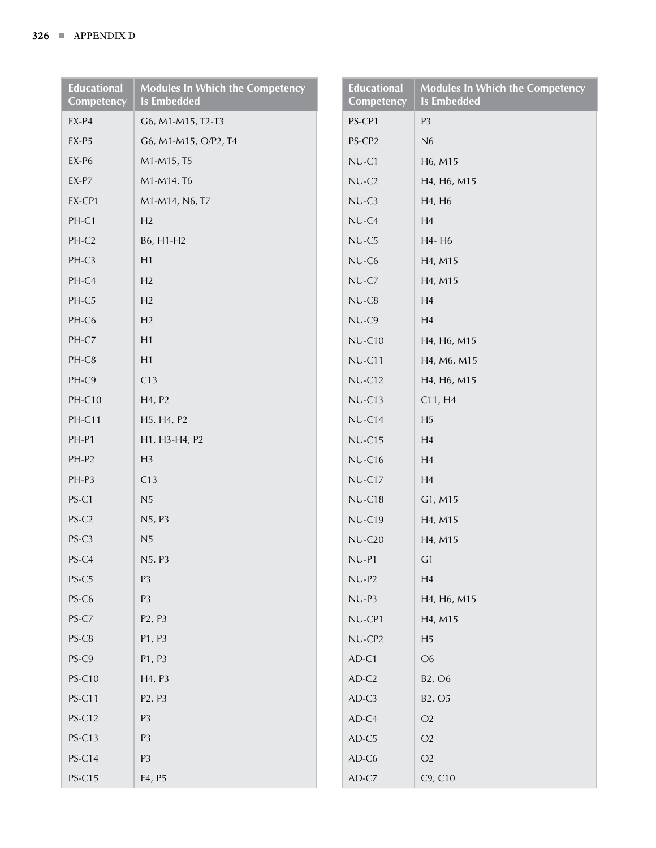| <b>Educational</b><br>Competency | <b>Modules In Which the Competency</b><br><b>Is Embedded</b> | <b>Educational</b><br>Competency | <b>Modules In Which the Competency</b><br><b>Is Embedded</b> |
|----------------------------------|--------------------------------------------------------------|----------------------------------|--------------------------------------------------------------|
| $EX-P4$                          | G6, M1-M15, T2-T3                                            | PS-CP1                           | P <sub>3</sub>                                               |
| $EX-P5$                          | G6, M1-M15, O/P2, T4                                         | PS-CP2                           | N6                                                           |
| $EX-P6$                          | M1-M15, T5                                                   | NU-C1                            | H6, M15                                                      |
| $EX-P7$                          | M1-M14, T6                                                   | $NU-C2$                          | H4, H6, M15                                                  |
| EX-CP1                           | M1-M14, N6, T7                                               | $NU-C3$                          | H4, H6                                                       |
| PH-C1                            | H2                                                           | $NU-C4$                          | H4                                                           |
| PH-C2                            | B6, H1-H2                                                    | $NU-C5$                          | H4-H6                                                        |
| PH-C3                            | H1                                                           | $NU-C6$                          | H4, M15                                                      |
| PH-C4                            | H2                                                           | $NU-C7$                          | H4, M15                                                      |
| PH-C5                            | H2                                                           | $NU-C8$                          | H <sub>4</sub>                                               |
| PH-C6                            | H2                                                           | NU-C9                            | H <sub>4</sub>                                               |
| PH-C7                            | H1                                                           | $NU-C10$                         | H4, H6, M15                                                  |
| PH-C8                            | H1                                                           | $NU-C11$                         | H4, M6, M15                                                  |
| PH-C9                            | C13                                                          | $NU-C12$                         | H4, H6, M15                                                  |
| PH-C10                           | H4, P2                                                       | $NU-C13$                         | C11, H4                                                      |
| PH-C11                           | H <sub>5</sub> , H <sub>4</sub> , P <sub>2</sub>             | $NU-C14$                         | H <sub>5</sub>                                               |
| PH-P1                            | H1, H3-H4, P2                                                | $NU-C15$                         | H <sub>4</sub>                                               |
| PH-P2                            | H3                                                           | $NU-C16$                         | H <sub>4</sub>                                               |
| PH-P3                            | C13                                                          | $NU-C17$                         | H <sub>4</sub>                                               |
| PS-C1                            | N <sub>5</sub>                                               | $NU-C18$                         | G1, M15                                                      |
| PS-C2                            | N5, P3                                                       | NU-C19                           | H4, M15                                                      |
| PS-C3                            | N <sub>5</sub>                                               | $NU-C20$                         | H4, M15                                                      |
| PS-C4                            | N5, P3                                                       | NU-P1                            | G1                                                           |
| PS-C5                            | P <sub>3</sub>                                               | $NU-P2$                          | H4                                                           |
| PS-C6                            | P <sub>3</sub>                                               | $NU-P3$                          | H4, H6, M15                                                  |
| $PS-C7$                          | P <sub>2</sub> , P <sub>3</sub>                              | NU-CP1                           | H4, M15                                                      |
| PS-C8                            | P1, P3                                                       | NU-CP2                           | H <sub>5</sub>                                               |
| PS-C9                            | P1, P3                                                       | $AD-C1$                          | O <sub>6</sub>                                               |
| <b>PS-C10</b>                    | H4, P3                                                       | $AD-C2$                          | B2, O6                                                       |
| <b>PS-C11</b>                    | P2. P3                                                       | $AD-C3$                          | B <sub>2</sub> , O <sub>5</sub>                              |
| <b>PS-C12</b>                    | P <sub>3</sub>                                               | $AD-C4$                          | $\rm O2$                                                     |
| <b>PS-C13</b>                    | P <sub>3</sub>                                               | $AD-C5$                          | $\rm O2$                                                     |
| <b>PS-C14</b>                    | P <sub>3</sub>                                               | $AD-C6$                          | $\rm O2$                                                     |
| <b>PS-C15</b>                    | E4, P5                                                       | $AD-C7$                          | C9, C10                                                      |